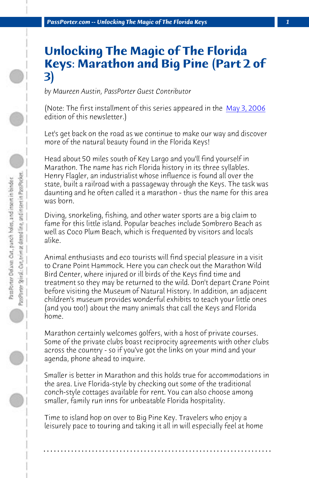*PassPorter.com -- Unlocking The Magic of The Florida Keys 1*

## **Unlocking The Magic of The Florida Keys: Marathon and Big Pine (Part 2 of 3)**

*by Maureen Austin, PassPorter Guest Contributor*

(Note: The first installment of this series appeared in the May 3, 2006 edition of this newsletter.)

Let's get back on the road as we continue to make our way and discover more of the natural beauty found in the Florida Keys!

Head about 50 miles south of Key Largo and you'll find yourself in Marathon. The name has rich Florida history in its three syllables. Henry Flagler, an industrialist whose influence is found all over the state, built a railroad with a passageway through the Keys. The task was daunting and he often called it a marathon - thus the name for this area was born.

Diving, snorkeling, fishing, and other water sports are a big claim to fame for this little island. Popular beaches include Sombrero Beach as well as Coco Plum Beach, which is frequented by visitors and locals alike.

Animal enthusiasts and eco tourists will find special pleasure in a visit to Crane Point Hammock. Here you can check out the Marathon Wild Bird Center, where injured or ill birds of the Keys find time and treatment so they may be returned to the wild. Don't depart Crane Point before visiting the Museum of Natural History. In addition, an adjacent children's museum provides wonderful exhibits to teach your little ones (and you too!) about the many animals that call the Keys and Florida home.

Marathon certainly welcomes golfers, with a host of private courses. Some of the private clubs boast reciprocity agreements with other clubs across the country - so if you've got the links on your mind and your agenda, phone ahead to inquire.

Smaller is better in Marathon and this holds true for accommodations in the area. Live Florida-style by checking out some of the traditional conch-style cottages available for rent. You can also choose among smaller, family run inns for unbeatable Florida hospitality.

Time to island hop on over to Big Pine Key. Travelers who enjoy a leisurely pace to touring and taking it all in will especially feel at home

**. . . . . . . . . . . . . . . . . . . . . . . . . . . . . . . . . . . . . . . . . . . . . . . . . . . . . . . . . . . . . . . . . .**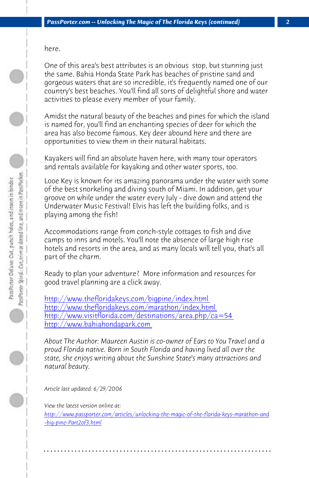here.

One of this area's best attributes is an obvious stop, but stunning just the same. Bahia Honda State Park has beaches of pristine sand and gorgeous waters that are so incredible, it's frequently named one of our country's best beaches. You'll find all sorts of delightful shore and water activities to please every member of your family.

Amidst the natural beauty of the beaches and pines for which the island is named for, you'll find an enchanting species of deer for which the area has also become famous. Key deer abound here and there are opportunities to view them in their natural habitats.

[Kayakers will find an absolute haven here, with many](http://http://www.thefloridakeys.com/bigpine/index.html) tour operators [and rentals available for kayaking and other water sport](http://http://www.thefloridakeys.com/marathon/index.html)s, too.

[Looe Key is known for its amazing](http://http://www.bahiahondapark.com/) [panorama under the water](http://http://www.visitflorida.com/destinations/area.php/ca=54) with some of the best snorkeling and diving south of Miami. In addition, get your groove on while under the water every July - dive down and attend the Underwater Music Festival! Elvis has left the building folks, and is playing among the fish!

Accommodations range from conch-style cottages to fish and dive camps to inns and motels. You'll note the absence of large high rise hotels and resorts in the area, and as many locals will tell you, that's all part of the charm.

[Ready to plan your adventure? More information and resources for](http://www.passporter.com/articles/unlocking-the-magic-of-the-florida-keys-marathon-and-big-pine-Part2of3.php) [good travel plannin](http://www.passporter.com/articles/unlocking-the-magic-of-the-florida-keys-marathon-and-big-pine-Part2of3.php)g are a click away.

http://www.thefloridakeys.com/bigpine/index.html http://www.thefloridakeys.com/marathon/index.html http://www.visitflorida.com/destinations/area.php/ca=54 http://www.bahiahondapark.com

*About The Author: Maureen Austin is co-owner of Ears to You Travel and a proud Florida native. Born in South Florida and having lived all over the state, she enjoys writing about the Sunshine State's many attractions and natural beauty.*

*Article last updated: 6/29/2006*

*View the latest version online at: http://www.passporter.com/articles/unlocking-the-magic-of-the-florida-keys-marathon-and -big-pine-Part2of3.html*

**. . . . . . . . . . . . . . . . . . . . . . . . . . . . . . . . . . . . . . . . . . . . . . . . . . . . . . . . . . . . . . . . . .**